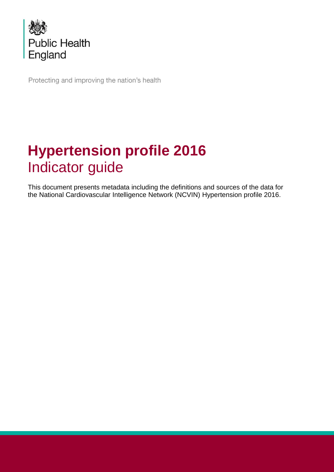

Protecting and improving the nation's health

# <span id="page-0-1"></span><span id="page-0-0"></span>**Hypertension profile 2016** Indicator guide

This document presents metadata including the definitions and sources of the data for the National Cardiovascular Intelligence Network (NCVIN) Hypertension profile 2016.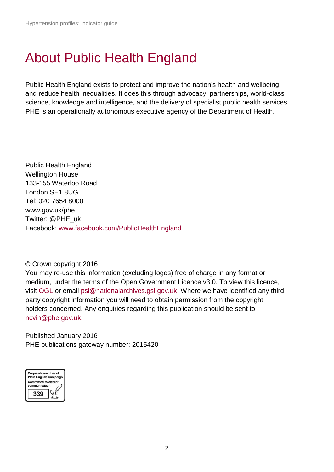# <span id="page-1-0"></span>About Public Health England

Public Health England exists to protect and improve the nation's health and wellbeing, and reduce health inequalities. It does this through advocacy, partnerships, world-class science, knowledge and intelligence, and the delivery of specialist public health services. PHE is an operationally autonomous executive agency of the Department of Health.

Public Health England Wellington House 133-155 Waterloo Road London SE1 8UG Tel: 020 7654 8000 [www.gov.uk/phe](http://www.gov.uk/phe) Twitter: [@PHE\\_uk](https://twitter.com/PHE_uk) Facebook: [www.facebook.com/PublicHealthEngland](http://www.facebook.com/PublicHealthEngland)

#### © Crown copyright 2016

You may re-use this information (excluding logos) free of charge in any format or medium, under the terms of the Open Government Licence v3.0. To view this licence, visit [OGL](https://www.nationalarchives.gov.uk/doc/open-government-licence/version/3/) or email [psi@nationalarchives.gsi.gov.uk.](mailto:psi@nationalarchives.gsi.gov.uk) Where we have identified any third party copyright information you will need to obtain permission from the copyright holders concerned. Any enquiries regarding this publication should be sent to [ncvin@phe.gov.uk.](mailto:ncvin@phe.gov.uk)

Published January 2016 PHE publications gateway number: 2015420

<span id="page-1-1"></span>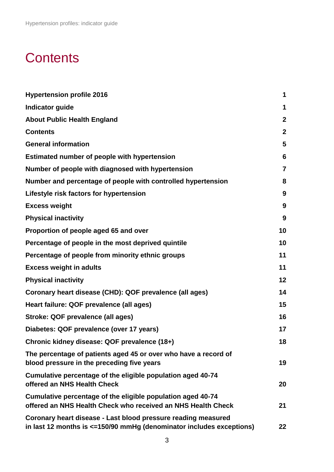# **Contents**

| <b>Hypertension profile 2016</b>                                                                                                            | 1                |
|---------------------------------------------------------------------------------------------------------------------------------------------|------------------|
| <b>Indicator guide</b>                                                                                                                      | 1                |
| <b>About Public Health England</b>                                                                                                          | $\mathbf{2}$     |
| <b>Contents</b>                                                                                                                             | $\boldsymbol{2}$ |
| <b>General information</b>                                                                                                                  | 5                |
| Estimated number of people with hypertension                                                                                                | $6\phantom{1}6$  |
| Number of people with diagnosed with hypertension                                                                                           | $\overline{7}$   |
| Number and percentage of people with controlled hypertension                                                                                | 8                |
| Lifestyle risk factors for hypertension                                                                                                     | 9                |
| <b>Excess weight</b>                                                                                                                        | 9                |
| <b>Physical inactivity</b>                                                                                                                  | 9                |
| Proportion of people aged 65 and over                                                                                                       | 10               |
| Percentage of people in the most deprived quintile                                                                                          | 10               |
| Percentage of people from minority ethnic groups                                                                                            | 11               |
| <b>Excess weight in adults</b>                                                                                                              | 11               |
| <b>Physical inactivity</b>                                                                                                                  | 12               |
| Coronary heart disease (CHD): QOF prevalence (all ages)                                                                                     | 14               |
| Heart failure: QOF prevalence (all ages)                                                                                                    | 15               |
| Stroke: QOF prevalence (all ages)                                                                                                           | 16               |
| Diabetes: QOF prevalence (over 17 years)                                                                                                    | 17               |
| Chronic kidney disease: QOF prevalence (18+)                                                                                                | 18               |
| The percentage of patients aged 45 or over who have a record of<br>blood pressure in the preceding five years                               | 19               |
| Cumulative percentage of the eligible population aged 40-74<br>offered an NHS Health Check                                                  | 20               |
| Cumulative percentage of the eligible population aged 40-74<br>offered an NHS Health Check who received an NHS Health Check                 | 21               |
| Coronary heart disease - Last blood pressure reading measured<br>in last 12 months is $\leq$ =150/90 mmHg (denominator includes exceptions) | 22               |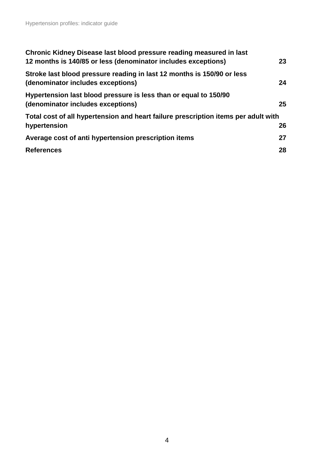| Chronic Kidney Disease last blood pressure reading measured in last<br>12 months is 140/85 or less (denominator includes exceptions) | 23 |
|--------------------------------------------------------------------------------------------------------------------------------------|----|
| Stroke last blood pressure reading in last 12 months is 150/90 or less<br>(denominator includes exceptions)                          | 24 |
| Hypertension last blood pressure is less than or equal to 150/90<br>(denominator includes exceptions)                                | 25 |
| Total cost of all hypertension and heart failure prescription items per adult with                                                   |    |
| hypertension                                                                                                                         | 26 |
| Average cost of anti hypertension prescription items                                                                                 | 27 |
| <b>References</b>                                                                                                                    | 28 |
|                                                                                                                                      |    |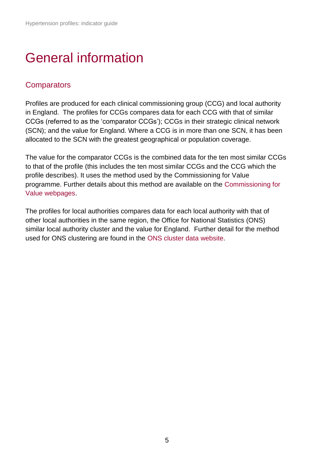# <span id="page-4-0"></span>General information

#### **Comparators**

Profiles are produced for each clinical commissioning group (CCG) and local authority in England. The profiles for CCGs compares data for each CCG with that of similar CCGs (referred to as the 'comparator CCGs'); CCGs in their strategic clinical network (SCN); and the value for England. Where a CCG is in more than one SCN, it has been allocated to the SCN with the greatest geographical or population coverage.

The value for the comparator CCGs is the combined data for the ten most similar CCGs to that of the profile (this includes the ten most similar CCGs and the CCG which the profile describes). It uses the method used by the Commissioning for Value programme. Further details about this method are available on the [Commissioning for](http://www.england.nhs.uk/resources/resources-for-ccgs/comm-for-value/)  [Value webpages.](http://www.england.nhs.uk/resources/resources-for-ccgs/comm-for-value/)

The profiles for local authorities compares data for each local authority with that of other local authorities in the same region, the Office for National Statistics (ONS) similar local authority cluster and the value for England. Further detail for the method used for ONS clustering are found in the [ONS cluster data website.](http://www.tinyurl.com/q6yrale)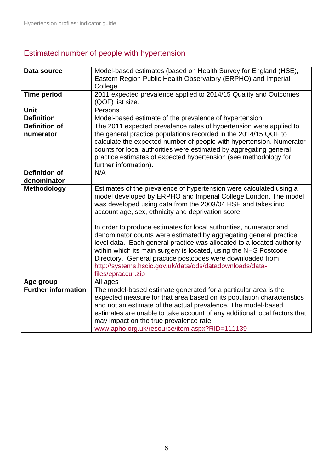# <span id="page-5-0"></span>Estimated number of people with hypertension

| Data source                         | Model-based estimates (based on Health Survey for England (HSE),<br>Eastern Region Public Health Observatory (ERPHO) and Imperial<br>College                                                                                                                                                                                                                                                                                                                                                                                                                                                                                                                                                          |
|-------------------------------------|-------------------------------------------------------------------------------------------------------------------------------------------------------------------------------------------------------------------------------------------------------------------------------------------------------------------------------------------------------------------------------------------------------------------------------------------------------------------------------------------------------------------------------------------------------------------------------------------------------------------------------------------------------------------------------------------------------|
| <b>Time period</b>                  | 2011 expected prevalence applied to 2014/15 Quality and Outcomes<br>(QOF) list size.                                                                                                                                                                                                                                                                                                                                                                                                                                                                                                                                                                                                                  |
| Unit                                | Persons                                                                                                                                                                                                                                                                                                                                                                                                                                                                                                                                                                                                                                                                                               |
| <b>Definition</b>                   | Model-based estimate of the prevalence of hypertension.                                                                                                                                                                                                                                                                                                                                                                                                                                                                                                                                                                                                                                               |
| <b>Definition of</b>                | The 2011 expected prevalence rates of hypertension were applied to                                                                                                                                                                                                                                                                                                                                                                                                                                                                                                                                                                                                                                    |
| numerator                           | the general practice populations recorded in the 2014/15 QOF to<br>calculate the expected number of people with hypertension. Numerator<br>counts for local authorities were estimated by aggregating general<br>practice estimates of expected hypertension (see methodology for<br>further information).                                                                                                                                                                                                                                                                                                                                                                                            |
| <b>Definition of</b><br>denominator | N/A                                                                                                                                                                                                                                                                                                                                                                                                                                                                                                                                                                                                                                                                                                   |
| <b>Methodology</b>                  | Estimates of the prevalence of hypertension were calculated using a<br>model developed by ERPHO and Imperial College London. The model<br>was developed using data from the 2003/04 HSE and takes into<br>account age, sex, ethnicity and deprivation score.<br>In order to produce estimates for local authorities, numerator and<br>denominator counts were estimated by aggregating general practice<br>level data. Each general practice was allocated to a located authority<br>wtihin which its main surgery is located, using the NHS Postcode<br>Directory. General practice postcodes were downloaded from<br>http://systems.hscic.gov.uk/data/ods/datadownloads/data-<br>files/epraccur.zip |
| Age group                           | All ages                                                                                                                                                                                                                                                                                                                                                                                                                                                                                                                                                                                                                                                                                              |
| <b>Further information</b>          | The model-based estimate generated for a particular area is the<br>expected measure for that area based on its population characteristics<br>and not an estimate of the actual prevalence. The model-based<br>estimates are unable to take account of any additional local factors that<br>may impact on the true prevalence rate.<br>www.apho.org.uk/resource/item.aspx?RID=111139                                                                                                                                                                                                                                                                                                                   |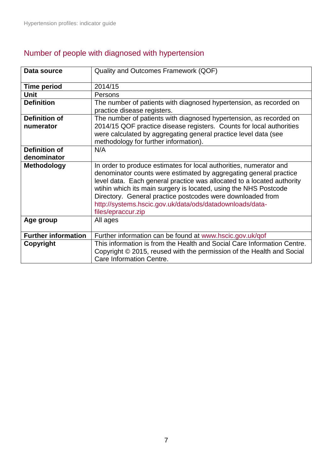<span id="page-6-0"></span>

| Data source                       | Quality and Outcomes Framework (QOF)                                                                                                                                                                                                                                                                                                                                                                                                  |
|-----------------------------------|---------------------------------------------------------------------------------------------------------------------------------------------------------------------------------------------------------------------------------------------------------------------------------------------------------------------------------------------------------------------------------------------------------------------------------------|
| <b>Time period</b>                | 2014/15                                                                                                                                                                                                                                                                                                                                                                                                                               |
| Unit                              | Persons                                                                                                                                                                                                                                                                                                                                                                                                                               |
| <b>Definition</b>                 | The number of patients with diagnosed hypertension, as recorded on<br>practice disease registers.                                                                                                                                                                                                                                                                                                                                     |
| <b>Definition of</b><br>numerator | The number of patients with diagnosed hypertension, as recorded on<br>2014/15 QOF practice disease registers. Counts for local authorities<br>were calculated by aggregating general practice level data (see<br>methodology for further information).                                                                                                                                                                                |
| Definition of                     | N/A                                                                                                                                                                                                                                                                                                                                                                                                                                   |
| denominator                       |                                                                                                                                                                                                                                                                                                                                                                                                                                       |
| <b>Methodology</b>                | In order to produce estimates for local authorities, numerator and<br>denominator counts were estimated by aggregating general practice<br>level data. Each general practice was allocated to a located authority<br>wtihin which its main surgery is located, using the NHS Postcode<br>Directory. General practice postcodes were downloaded from<br>http://systems.hscic.gov.uk/data/ods/datadownloads/data-<br>files/epraccur.zip |
| Age group                         | All ages                                                                                                                                                                                                                                                                                                                                                                                                                              |
| <b>Further information</b>        | Further information can be found at www.hscic.gov.uk/qof                                                                                                                                                                                                                                                                                                                                                                              |
| Copyright                         | This information is from the Health and Social Care Information Centre.<br>Copyright © 2015, reused with the permission of the Health and Social<br>Care Information Centre.                                                                                                                                                                                                                                                          |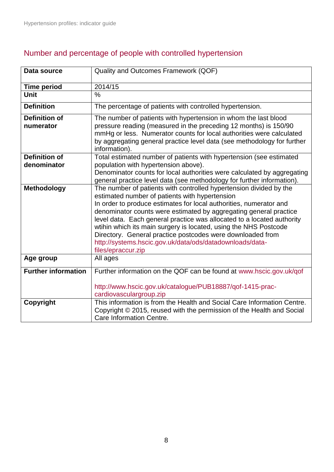<span id="page-7-1"></span>

| Data source                       | Quality and Outcomes Framework (QOF)                                                                                                                                                                                                                                                                                                                                                                                                                                                                                                                          |
|-----------------------------------|---------------------------------------------------------------------------------------------------------------------------------------------------------------------------------------------------------------------------------------------------------------------------------------------------------------------------------------------------------------------------------------------------------------------------------------------------------------------------------------------------------------------------------------------------------------|
| <b>Time period</b>                | 2014/15                                                                                                                                                                                                                                                                                                                                                                                                                                                                                                                                                       |
| <b>Unit</b>                       | $\frac{0}{0}$                                                                                                                                                                                                                                                                                                                                                                                                                                                                                                                                                 |
| <b>Definition</b>                 | The percentage of patients with controlled hypertension.                                                                                                                                                                                                                                                                                                                                                                                                                                                                                                      |
| <b>Definition of</b><br>numerator | The number of patients with hypertension in whom the last blood<br>pressure reading (measured in the preceding 12 months) is 150/90<br>mmHg or less. Numerator counts for local authorities were calculated<br>by aggregating general practice level data (see methodology for further<br>information).                                                                                                                                                                                                                                                       |
| <b>Definition of</b>              | Total estimated number of patients with hypertension (see estimated                                                                                                                                                                                                                                                                                                                                                                                                                                                                                           |
| denominator                       | population with hypertension above).<br>Denominator counts for local authorities were calculated by aggregating<br>general practice level data (see methodology for further information).                                                                                                                                                                                                                                                                                                                                                                     |
| Methodology                       | The number of patients with controlled hypertension divided by the<br>estimated number of patients with hypertension<br>In order to produce estimates for local authorities, numerator and<br>denominator counts were estimated by aggregating general practice<br>level data. Each general practice was allocated to a located authority<br>wtihin which its main surgery is located, using the NHS Postcode<br>Directory. General practice postcodes were downloaded from<br>http://systems.hscic.gov.uk/data/ods/datadownloads/data-<br>files/epraccur.zip |
| Age group                         | All ages                                                                                                                                                                                                                                                                                                                                                                                                                                                                                                                                                      |
| <b>Further information</b>        | Further information on the QOF can be found at www.hscic.gov.uk/qof<br>http://www.hscic.gov.uk/catalogue/PUB18887/qof-1415-prac-<br>cardiovasculargroup.zip                                                                                                                                                                                                                                                                                                                                                                                                   |
| Copyright                         | This information is from the Health and Social Care Information Centre.<br>Copyright © 2015, reused with the permission of the Health and Social<br>Care Information Centre.                                                                                                                                                                                                                                                                                                                                                                                  |

# <span id="page-7-0"></span>Number and percentage of people with controlled hypertension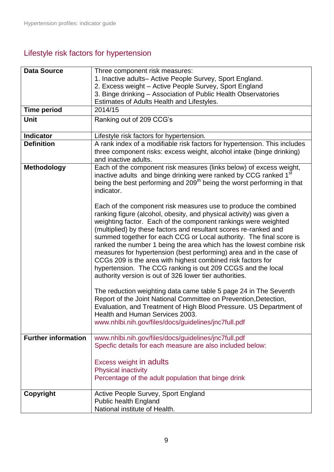# Lifestyle risk factors for hypertension

<span id="page-8-1"></span><span id="page-8-0"></span>

| <b>Data Source</b>         | Three component risk measures:                                                                                                                                                                                                                                                                                                                                                                                                                                                                                                                                                                                                                                                               |
|----------------------------|----------------------------------------------------------------------------------------------------------------------------------------------------------------------------------------------------------------------------------------------------------------------------------------------------------------------------------------------------------------------------------------------------------------------------------------------------------------------------------------------------------------------------------------------------------------------------------------------------------------------------------------------------------------------------------------------|
|                            | 1. Inactive adults- Active People Survey, Sport England.<br>2. Excess weight - Active People Survey, Sport England                                                                                                                                                                                                                                                                                                                                                                                                                                                                                                                                                                           |
|                            | 3. Binge drinking - Association of Public Health Observatories                                                                                                                                                                                                                                                                                                                                                                                                                                                                                                                                                                                                                               |
|                            | Estimates of Adults Health and Lifestyles.                                                                                                                                                                                                                                                                                                                                                                                                                                                                                                                                                                                                                                                   |
| <b>Time period</b>         | 2014/15                                                                                                                                                                                                                                                                                                                                                                                                                                                                                                                                                                                                                                                                                      |
| Unit                       | Ranking out of 209 CCG's                                                                                                                                                                                                                                                                                                                                                                                                                                                                                                                                                                                                                                                                     |
|                            |                                                                                                                                                                                                                                                                                                                                                                                                                                                                                                                                                                                                                                                                                              |
| <b>Indicator</b>           | Lifestyle risk factors for hypertension.                                                                                                                                                                                                                                                                                                                                                                                                                                                                                                                                                                                                                                                     |
| <b>Definition</b>          | A rank index of a modifiable risk factors for hypertension. This includes<br>three component risks: excess weight, alcohol intake (binge drinking)<br>and inactive adults.                                                                                                                                                                                                                                                                                                                                                                                                                                                                                                                   |
| <b>Methodology</b>         | Each of the component risk measures (links below) of excess weight,<br>inactive adults and binge drinking were ranked by CCG ranked 1 <sup>st</sup><br>being the best performing and 209 <sup>th</sup> being the worst performing in that<br>indicator.                                                                                                                                                                                                                                                                                                                                                                                                                                      |
|                            | Each of the component risk measures use to produce the combined<br>ranking figure (alcohol, obesity, and physical activity) was given a<br>weighting factor. Each of the component rankings were weighted<br>(multiplied) by these factors and resultant scores re-ranked and<br>summed together for each CCG or Local authority. The final score is<br>ranked the number 1 being the area which has the lowest combine risk<br>measures for hypertension (best performing) area and in the case of<br>CCGs 209 is the area with highest combined risk factors for<br>hypertension. The CCG ranking is out 209 CCGS and the local<br>authority version is out of 326 lower tier authorities. |
|                            | The reduction weighting data came table 5 page 24 in The Seventh<br>Report of the Joint National Committee on Prevention, Detection,<br>Evaluation, and Treatment of High Blood Pressure. US Department of<br>Health and Human Services 2003.<br>www.nhlbi.nih.gov/files/docs/guidelines/jnc7full.pdf                                                                                                                                                                                                                                                                                                                                                                                        |
| <b>Further information</b> | www.nhlbi.nih.gov/files/docs/guidelines/jnc7full.pdf                                                                                                                                                                                                                                                                                                                                                                                                                                                                                                                                                                                                                                         |
|                            | Specfic details for each measure are also included below:                                                                                                                                                                                                                                                                                                                                                                                                                                                                                                                                                                                                                                    |
|                            |                                                                                                                                                                                                                                                                                                                                                                                                                                                                                                                                                                                                                                                                                              |
|                            | <b>Excess weight in adults</b>                                                                                                                                                                                                                                                                                                                                                                                                                                                                                                                                                                                                                                                               |
|                            | <b>Physical inactivity</b>                                                                                                                                                                                                                                                                                                                                                                                                                                                                                                                                                                                                                                                                   |
|                            | Percentage of the adult population that binge drink                                                                                                                                                                                                                                                                                                                                                                                                                                                                                                                                                                                                                                          |
| Copyright                  | Active People Survey, Sport England                                                                                                                                                                                                                                                                                                                                                                                                                                                                                                                                                                                                                                                          |
|                            | <b>Public health England</b>                                                                                                                                                                                                                                                                                                                                                                                                                                                                                                                                                                                                                                                                 |
|                            | National institute of Health.                                                                                                                                                                                                                                                                                                                                                                                                                                                                                                                                                                                                                                                                |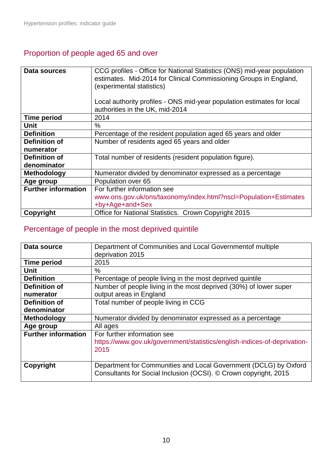## <span id="page-9-0"></span>Proportion of people aged 65 and over

| Data sources               | CCG profiles - Office for National Statistics (ONS) mid-year population<br>estimates. Mid-2014 for Clinical Commissioning Groups in England,<br>(experimental statistics)<br>Local authority profiles - ONS mid-year population estimates for local<br>authorities in the UK, mid-2014 |
|----------------------------|----------------------------------------------------------------------------------------------------------------------------------------------------------------------------------------------------------------------------------------------------------------------------------------|
| <b>Time period</b>         | 2014                                                                                                                                                                                                                                                                                   |
| Unit                       | $\%$                                                                                                                                                                                                                                                                                   |
| <b>Definition</b>          | Percentage of the resident population aged 65 years and older                                                                                                                                                                                                                          |
| Definition of              | Number of residents aged 65 years and older                                                                                                                                                                                                                                            |
| numerator                  |                                                                                                                                                                                                                                                                                        |
| Definition of              | Total number of residents (resident population figure).                                                                                                                                                                                                                                |
| denominator                |                                                                                                                                                                                                                                                                                        |
| <b>Methodology</b>         | Numerator divided by denominator expressed as a percentage                                                                                                                                                                                                                             |
| Age group                  | Population over 65                                                                                                                                                                                                                                                                     |
| <b>Further information</b> | For further information see                                                                                                                                                                                                                                                            |
|                            | www.ons.gov.uk/ons/taxonomy/index.html?nscl=Population+Estimates                                                                                                                                                                                                                       |
|                            | +by+Age+and+Sex                                                                                                                                                                                                                                                                        |
| Copyright                  | Office for National Statistics. Crown Copyright 2015                                                                                                                                                                                                                                   |

## <span id="page-9-1"></span>Percentage of people in the most deprived quintile

<span id="page-9-2"></span>

| Department of Communities and Local Government of multiple               |
|--------------------------------------------------------------------------|
| deprivation 2015                                                         |
| 2015                                                                     |
| %                                                                        |
| Percentage of people living in the most deprived quintile                |
| Number of people living in the most deprived (30%) of lower super        |
| output areas in England                                                  |
| Total number of people living in CCG                                     |
|                                                                          |
| Numerator divided by denominator expressed as a percentage               |
| All ages                                                                 |
| For further information see                                              |
| https://www.gov.uk/government/statistics/english-indices-of-deprivation- |
| 2015                                                                     |
|                                                                          |
| Department for Communities and Local Government (DCLG) by Oxford         |
| Consultants for Social Inclusion (OCSI). © Crown copyright, 2015         |
|                                                                          |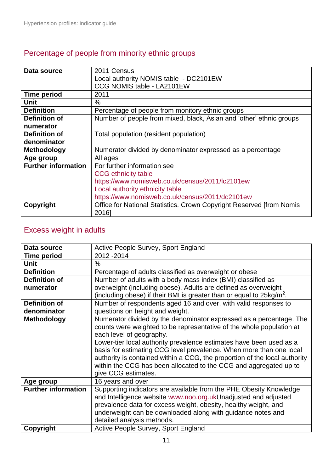## Percentage of people from minority ethnic groups

| Data source                | 2011 Census                                                          |
|----------------------------|----------------------------------------------------------------------|
|                            | Local authority NOMIS table - DC2101EW                               |
|                            | CCG NOMIS table - LA2101EW                                           |
| <b>Time period</b>         | 2011                                                                 |
| Unit                       | $\%$                                                                 |
| <b>Definition</b>          | Percentage of people from monitory ethnic groups                     |
| <b>Definition of</b>       | Number of people from mixed, black, Asian and 'other' ethnic groups  |
| numerator                  |                                                                      |
| Definition of              | Total population (resident population)                               |
| denominator                |                                                                      |
| <b>Methodology</b>         | Numerator divided by denominator expressed as a percentage           |
| Age group                  | All ages                                                             |
| <b>Further information</b> | For further information see                                          |
|                            | <b>CCG</b> ethnicity table                                           |
|                            | https://www.nomisweb.co.uk/census/2011/lc2101ew                      |
|                            | Local authority ethnicity table                                      |
|                            | https://www.nomisweb.co.uk/census/2011/dc2101ew                      |
| Copyright                  | Office for National Statistics. Crown Copyright Reserved [from Nomis |
|                            | 2016]                                                                |

## <span id="page-10-0"></span>Excess weight in adults

| Data source                | Active People Survey, Sport England                                            |
|----------------------------|--------------------------------------------------------------------------------|
| <b>Time period</b>         | 2012 - 2014                                                                    |
| Unit                       | $\%$                                                                           |
| <b>Definition</b>          | Percentage of adults classified as overweight or obese                         |
| <b>Definition of</b>       | Number of adults with a body mass index (BMI) classified as                    |
| numerator                  | overweight (including obese). Adults are defined as overweight                 |
|                            | (including obese) if their BMI is greater than or equal to $25\text{kg/m}^2$ . |
| Definition of              | Number of respondents aged 16 and over, with valid responses to                |
| denominator                | questions on height and weight.                                                |
| <b>Methodology</b>         | Numerator divided by the denominator expressed as a percentage. The            |
|                            | counts were weighted to be representative of the whole population at           |
|                            | each level of geography.                                                       |
|                            | Lower-tier local authority prevalence estimates have been used as a            |
|                            | basis for estimating CCG level prevalence. When more than one local            |
|                            | authority is contained within a CCG, the proportion of the local authority     |
|                            | within the CCG has been allocated to the CCG and aggregated up to              |
|                            | give CCG estimates.                                                            |
| Age group                  | 16 years and over                                                              |
| <b>Further information</b> | Supporting indicators are available from the PHE Obesity Knowledge             |
|                            | and Intelligence website www.noo.org.ukUnadjusted and adjusted                 |
|                            | prevalence data for excess weight, obesity, healthy weight, and                |
|                            | underweight can be downloaded along with guidance notes and                    |
|                            | detailed analysis methods.                                                     |
| Copyright                  | Active People Survey, Sport England                                            |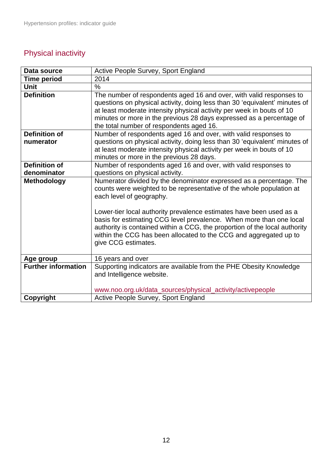# <span id="page-11-0"></span>Physical inactivity

| Data source                | Active People Survey, Sport England                                                                                                                                                                                                                                                                                                            |
|----------------------------|------------------------------------------------------------------------------------------------------------------------------------------------------------------------------------------------------------------------------------------------------------------------------------------------------------------------------------------------|
| <b>Time period</b>         | 2014                                                                                                                                                                                                                                                                                                                                           |
| <b>Unit</b>                | $\frac{0}{0}$                                                                                                                                                                                                                                                                                                                                  |
| <b>Definition</b>          | The number of respondents aged 16 and over, with valid responses to<br>questions on physical activity, doing less than 30 'equivalent' minutes of<br>at least moderate intensity physical activity per week in bouts of 10<br>minutes or more in the previous 28 days expressed as a percentage of<br>the total number of respondents aged 16. |
| <b>Definition of</b>       | Number of respondents aged 16 and over, with valid responses to                                                                                                                                                                                                                                                                                |
| numerator                  | questions on physical activity, doing less than 30 'equivalent' minutes of<br>at least moderate intensity physical activity per week in bouts of 10<br>minutes or more in the previous 28 days.                                                                                                                                                |
| <b>Definition of</b>       | Number of respondents aged 16 and over, with valid responses to                                                                                                                                                                                                                                                                                |
| denominator                | questions on physical activity.                                                                                                                                                                                                                                                                                                                |
| <b>Methodology</b>         | Numerator divided by the denominator expressed as a percentage. The<br>counts were weighted to be representative of the whole population at<br>each level of geography.                                                                                                                                                                        |
|                            | Lower-tier local authority prevalence estimates have been used as a<br>basis for estimating CCG level prevalence. When more than one local<br>authority is contained within a CCG, the proportion of the local authority<br>within the CCG has been allocated to the CCG and aggregated up to<br>give CCG estimates.                           |
| Age group                  | 16 years and over                                                                                                                                                                                                                                                                                                                              |
| <b>Further information</b> | Supporting indicators are available from the PHE Obesity Knowledge<br>and Intelligence website.                                                                                                                                                                                                                                                |
|                            | www.noo.org.uk/data_sources/physical_activity/activepeople                                                                                                                                                                                                                                                                                     |
| Copyright                  | Active People Survey, Sport England                                                                                                                                                                                                                                                                                                            |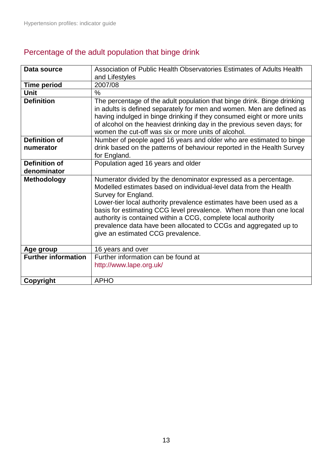## <span id="page-12-0"></span>Percentage of the adult population that binge drink

| Data source                | Association of Public Health Observatories Estimates of Adults Health<br>and Lifestyles                                                                                                                                                                                                                                                                                                                                                                                             |
|----------------------------|-------------------------------------------------------------------------------------------------------------------------------------------------------------------------------------------------------------------------------------------------------------------------------------------------------------------------------------------------------------------------------------------------------------------------------------------------------------------------------------|
| <b>Time period</b>         | 2007/08                                                                                                                                                                                                                                                                                                                                                                                                                                                                             |
| <b>Unit</b>                | $\%$                                                                                                                                                                                                                                                                                                                                                                                                                                                                                |
| <b>Definition</b>          | The percentage of the adult population that binge drink. Binge drinking<br>in adults is defined separately for men and women. Men are defined as<br>having indulged in binge drinking if they consumed eight or more units<br>of alcohol on the heaviest drinking day in the previous seven days; for<br>women the cut-off was six or more units of alcohol.                                                                                                                        |
| <b>Definition of</b>       | Number of people aged 16 years and older who are estimated to binge                                                                                                                                                                                                                                                                                                                                                                                                                 |
| numerator                  | drink based on the patterns of behaviour reported in the Health Survey<br>for England.                                                                                                                                                                                                                                                                                                                                                                                              |
| Definition of              | Population aged 16 years and older                                                                                                                                                                                                                                                                                                                                                                                                                                                  |
| denominator                |                                                                                                                                                                                                                                                                                                                                                                                                                                                                                     |
| <b>Methodology</b>         | Numerator divided by the denominator expressed as a percentage.<br>Modelled estimates based on individual-level data from the Health<br>Survey for England.<br>Lower-tier local authority prevalence estimates have been used as a<br>basis for estimating CCG level prevalence. When more than one local<br>authority is contained within a CCG, complete local authority<br>prevalence data have been allocated to CCGs and aggregated up to<br>give an estimated CCG prevalence. |
| Age group                  | 16 years and over                                                                                                                                                                                                                                                                                                                                                                                                                                                                   |
| <b>Further information</b> | Further information can be found at<br>http://www.lape.org.uk/                                                                                                                                                                                                                                                                                                                                                                                                                      |
| Copyright                  | <b>APHO</b>                                                                                                                                                                                                                                                                                                                                                                                                                                                                         |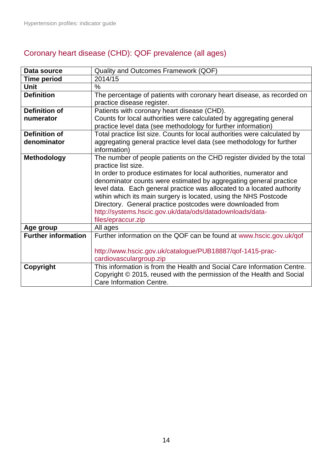<span id="page-13-0"></span>

| Data source                | Quality and Outcomes Framework (QOF)                                      |
|----------------------------|---------------------------------------------------------------------------|
| <b>Time period</b>         | 2014/15                                                                   |
| <b>Unit</b>                | $\%$                                                                      |
| <b>Definition</b>          | The percentage of patients with coronary heart disease, as recorded on    |
|                            | practice disease register.                                                |
| <b>Definition of</b>       | Patients with coronary heart disease (CHD).                               |
| numerator                  | Counts for local authorities were calculated by aggregating general       |
|                            | practice level data (see methodology for further information)             |
| <b>Definition of</b>       | Total practice list size. Counts for local authorities were calculated by |
| denominator                | aggregating general practice level data (see methodology for further      |
|                            | information)                                                              |
| <b>Methodology</b>         | The number of people patients on the CHD register divided by the total    |
|                            | practice list size.                                                       |
|                            | In order to produce estimates for local authorities, numerator and        |
|                            | denominator counts were estimated by aggregating general practice         |
|                            | level data. Each general practice was allocated to a located authority    |
|                            | wtihin which its main surgery is located, using the NHS Postcode          |
|                            | Directory. General practice postcodes were downloaded from                |
|                            | http://systems.hscic.gov.uk/data/ods/datadownloads/data-                  |
|                            | files/epraccur.zip                                                        |
| Age group                  | All ages                                                                  |
| <b>Further information</b> | Further information on the QOF can be found at www.hscic.gov.uk/qof       |
|                            |                                                                           |
|                            | http://www.hscic.gov.uk/catalogue/PUB18887/qof-1415-prac-                 |
|                            | cardiovasculargroup.zip                                                   |
| Copyright                  | This information is from the Health and Social Care Information Centre.   |
|                            | Copyright © 2015, reused with the permission of the Health and Social     |
|                            | Care Information Centre.                                                  |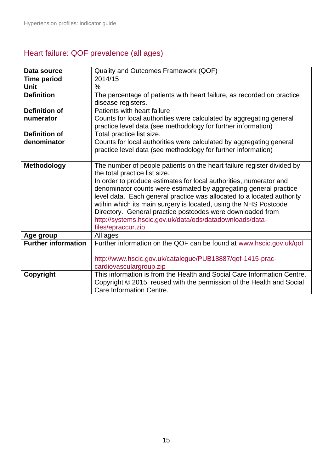# <span id="page-14-0"></span>Heart failure: QOF prevalence (all ages)

| Data source                | Quality and Outcomes Framework (QOF)                                                                                                        |
|----------------------------|---------------------------------------------------------------------------------------------------------------------------------------------|
| <b>Time period</b>         | 2014/15                                                                                                                                     |
| Unit                       | $\frac{0}{0}$                                                                                                                               |
| <b>Definition</b>          | The percentage of patients with heart failure, as recorded on practice                                                                      |
|                            | disease registers.                                                                                                                          |
| <b>Definition of</b>       | Patients with heart failure                                                                                                                 |
| numerator                  | Counts for local authorities were calculated by aggregating general                                                                         |
|                            | practice level data (see methodology for further information)                                                                               |
| <b>Definition of</b>       | Total practice list size.                                                                                                                   |
| denominator                | Counts for local authorities were calculated by aggregating general                                                                         |
|                            | practice level data (see methodology for further information)                                                                               |
|                            |                                                                                                                                             |
| <b>Methodology</b>         | The number of people patients on the heart failure register divided by                                                                      |
|                            | the total practice list size.                                                                                                               |
|                            | In order to produce estimates for local authorities, numerator and                                                                          |
|                            | denominator counts were estimated by aggregating general practice<br>level data. Each general practice was allocated to a located authority |
|                            | wtihin which its main surgery is located, using the NHS Postcode                                                                            |
|                            | Directory. General practice postcodes were downloaded from                                                                                  |
|                            | http://systems.hscic.gov.uk/data/ods/datadownloads/data-                                                                                    |
|                            | files/epraccur.zip                                                                                                                          |
| Age group                  | All ages                                                                                                                                    |
| <b>Further information</b> | Further information on the QOF can be found at www.hscic.gov.uk/qof                                                                         |
|                            |                                                                                                                                             |
|                            | http://www.hscic.gov.uk/catalogue/PUB18887/qof-1415-prac-                                                                                   |
|                            | cardiovasculargroup.zip                                                                                                                     |
| Copyright                  | This information is from the Health and Social Care Information Centre.                                                                     |
|                            | Copyright © 2015, reused with the permission of the Health and Social                                                                       |
|                            | Care Information Centre.                                                                                                                    |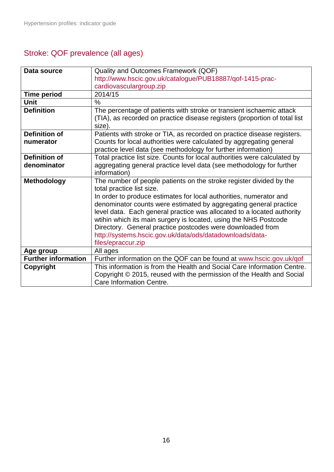# <span id="page-15-0"></span>Stroke: QOF prevalence (all ages)

| Data source                | Quality and Outcomes Framework (QOF)                                       |
|----------------------------|----------------------------------------------------------------------------|
|                            | http://www.hscic.gov.uk/catalogue/PUB18887/qof-1415-prac-                  |
|                            | cardiovasculargroup.zip                                                    |
| <b>Time period</b>         | 2014/15                                                                    |
| <b>Unit</b>                | $\frac{0}{0}$                                                              |
| <b>Definition</b>          | The percentage of patients with stroke or transient ischaemic attack       |
|                            | (TIA), as recorded on practice disease registers (proportion of total list |
|                            | size).                                                                     |
| <b>Definition of</b>       | Patients with stroke or TIA, as recorded on practice disease registers.    |
| numerator                  | Counts for local authorities were calculated by aggregating general        |
|                            | practice level data (see methodology for further information)              |
| <b>Definition of</b>       | Total practice list size. Counts for local authorities were calculated by  |
| denominator                | aggregating general practice level data (see methodology for further       |
|                            | information)                                                               |
| <b>Methodology</b>         | The number of people patients on the stroke register divided by the        |
|                            | total practice list size.                                                  |
|                            | In order to produce estimates for local authorities, numerator and         |
|                            | denominator counts were estimated by aggregating general practice          |
|                            | level data. Each general practice was allocated to a located authority     |
|                            | wtihin which its main surgery is located, using the NHS Postcode           |
|                            | Directory. General practice postcodes were downloaded from                 |
|                            | http://systems.hscic.gov.uk/data/ods/datadownloads/data-                   |
|                            | files/epraccur.zip                                                         |
| Age group                  | All ages                                                                   |
| <b>Further information</b> | Further information on the QOF can be found at www.hscic.gov.uk/qof        |
| Copyright                  | This information is from the Health and Social Care Information Centre.    |
|                            | Copyright © 2015, reused with the permission of the Health and Social      |
|                            | Care Information Centre.                                                   |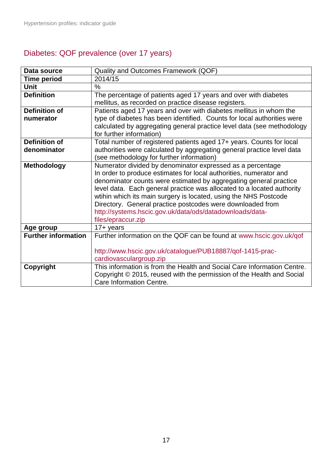# <span id="page-16-0"></span>Diabetes: QOF prevalence (over 17 years)

| Data source                | Quality and Outcomes Framework (QOF)                                    |
|----------------------------|-------------------------------------------------------------------------|
| <b>Time period</b>         | 2014/15                                                                 |
| Unit                       | $\frac{0}{0}$                                                           |
| <b>Definition</b>          | The percentage of patients aged 17 years and over with diabetes         |
|                            | mellitus, as recorded on practice disease registers.                    |
| <b>Definition of</b>       | Patients aged 17 years and over with diabetes mellitus in whom the      |
| numerator                  | type of diabetes has been identified. Counts for local authorities were |
|                            | calculated by aggregating general practice level data (see methodology  |
|                            | for further information)                                                |
| <b>Definition of</b>       | Total number of registered patients aged 17+ years. Counts for local    |
| denominator                | authorities were calculated by aggregating general practice level data  |
|                            | (see methodology for further information)                               |
| <b>Methodology</b>         | Numerator divided by denominator expressed as a percentage              |
|                            | In order to produce estimates for local authorities, numerator and      |
|                            | denominator counts were estimated by aggregating general practice       |
|                            | level data. Each general practice was allocated to a located authority  |
|                            | wtihin which its main surgery is located, using the NHS Postcode        |
|                            | Directory. General practice postcodes were downloaded from              |
|                            | http://systems.hscic.gov.uk/data/ods/datadownloads/data-                |
|                            | files/epraccur.zip                                                      |
| Age group                  | $17 + \text{years}$                                                     |
| <b>Further information</b> | Further information on the QOF can be found at www.hscic.gov.uk/qof     |
|                            |                                                                         |
|                            | http://www.hscic.gov.uk/catalogue/PUB18887/qof-1415-prac-               |
|                            | cardiovasculargroup.zip                                                 |
| Copyright                  | This information is from the Health and Social Care Information Centre. |
|                            | Copyright © 2015, reused with the permission of the Health and Social   |
|                            | Care Information Centre.                                                |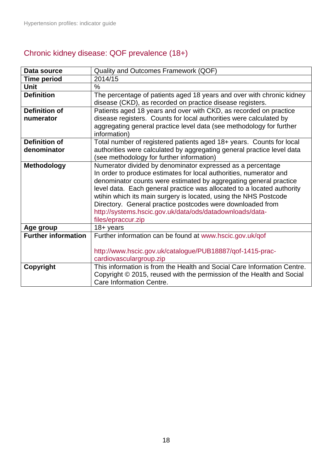## <span id="page-17-0"></span>Chronic kidney disease: QOF prevalence (18+)

| Data source                | Quality and Outcomes Framework (QOF)                                                                                                                                                                                                                                                                                                                                                                                                                                                                |
|----------------------------|-----------------------------------------------------------------------------------------------------------------------------------------------------------------------------------------------------------------------------------------------------------------------------------------------------------------------------------------------------------------------------------------------------------------------------------------------------------------------------------------------------|
| <b>Time period</b>         | 2014/15                                                                                                                                                                                                                                                                                                                                                                                                                                                                                             |
| Unit                       | $\%$                                                                                                                                                                                                                                                                                                                                                                                                                                                                                                |
| <b>Definition</b>          | The percentage of patients aged 18 years and over with chronic kidney<br>disease (CKD), as recorded on practice disease registers.                                                                                                                                                                                                                                                                                                                                                                  |
| <b>Definition of</b>       | Patients aged 18 years and over with CKD, as recorded on practice                                                                                                                                                                                                                                                                                                                                                                                                                                   |
| numerator                  | disease registers. Counts for local authorities were calculated by                                                                                                                                                                                                                                                                                                                                                                                                                                  |
|                            | aggregating general practice level data (see methodology for further<br>information)                                                                                                                                                                                                                                                                                                                                                                                                                |
| <b>Definition of</b>       | Total number of registered patients aged 18+ years. Counts for local                                                                                                                                                                                                                                                                                                                                                                                                                                |
| denominator                | authorities were calculated by aggregating general practice level data                                                                                                                                                                                                                                                                                                                                                                                                                              |
|                            | (see methodology for further information)                                                                                                                                                                                                                                                                                                                                                                                                                                                           |
| <b>Methodology</b>         | Numerator divided by denominator expressed as a percentage<br>In order to produce estimates for local authorities, numerator and<br>denominator counts were estimated by aggregating general practice<br>level data. Each general practice was allocated to a located authority<br>wtihin which its main surgery is located, using the NHS Postcode<br>Directory. General practice postcodes were downloaded from<br>http://systems.hscic.gov.uk/data/ods/datadownloads/data-<br>files/epraccur.zip |
| Age group                  | $18 + years$                                                                                                                                                                                                                                                                                                                                                                                                                                                                                        |
| <b>Further information</b> | Further information can be found at www.hscic.gov.uk/qof<br>http://www.hscic.gov.uk/catalogue/PUB18887/qof-1415-prac-<br>cardiovasculargroup.zip                                                                                                                                                                                                                                                                                                                                                    |
| Copyright                  | This information is from the Health and Social Care Information Centre.<br>Copyright © 2015, reused with the permission of the Health and Social                                                                                                                                                                                                                                                                                                                                                    |
|                            | Care Information Centre.                                                                                                                                                                                                                                                                                                                                                                                                                                                                            |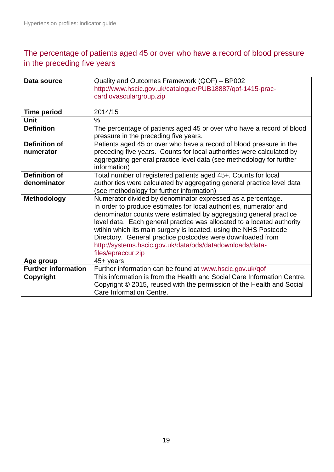### <span id="page-18-0"></span>The percentage of patients aged 45 or over who have a record of blood pressure in the preceding five years

| Data source                | Quality and Outcomes Framework (QOF) - BP002                            |
|----------------------------|-------------------------------------------------------------------------|
|                            | http://www.hscic.gov.uk/catalogue/PUB18887/qof-1415-prac-               |
|                            | cardiovasculargroup.zip                                                 |
|                            |                                                                         |
| <b>Time period</b>         | 2014/15                                                                 |
| <b>Unit</b>                | $\frac{0}{0}$                                                           |
| <b>Definition</b>          | The percentage of patients aged 45 or over who have a record of blood   |
|                            | pressure in the preceding five years.                                   |
| <b>Definition of</b>       | Patients aged 45 or over who have a record of blood pressure in the     |
| numerator                  | preceding five years. Counts for local authorities were calculated by   |
|                            | aggregating general practice level data (see methodology for further    |
|                            | information)                                                            |
| <b>Definition of</b>       | Total number of registered patients aged 45+. Counts for local          |
| denominator                | authorities were calculated by aggregating general practice level data  |
|                            | (see methodology for further information)                               |
| <b>Methodology</b>         | Numerator divided by denominator expressed as a percentage.             |
|                            | In order to produce estimates for local authorities, numerator and      |
|                            | denominator counts were estimated by aggregating general practice       |
|                            | level data. Each general practice was allocated to a located authority  |
|                            | wtihin which its main surgery is located, using the NHS Postcode        |
|                            | Directory. General practice postcodes were downloaded from              |
|                            | http://systems.hscic.gov.uk/data/ods/datadownloads/data-                |
|                            | files/epraccur.zip                                                      |
| Age group                  | 45+ years                                                               |
| <b>Further information</b> | Further information can be found at www.hscic.gov.uk/qof                |
| Copyright                  | This information is from the Health and Social Care Information Centre. |
|                            | Copyright © 2015, reused with the permission of the Health and Social   |
|                            | Care Information Centre.                                                |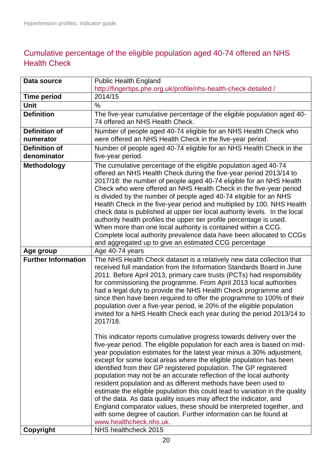### <span id="page-19-0"></span>Cumulative percentage of the eligible population aged 40-74 offered an NHS Health Check

| Data source                         | <b>Public Health England</b>                                                                                                                                                                                                                                                                                                                                                                                                                                                                                                                                                                                                                                                                                                                                                                                                              |
|-------------------------------------|-------------------------------------------------------------------------------------------------------------------------------------------------------------------------------------------------------------------------------------------------------------------------------------------------------------------------------------------------------------------------------------------------------------------------------------------------------------------------------------------------------------------------------------------------------------------------------------------------------------------------------------------------------------------------------------------------------------------------------------------------------------------------------------------------------------------------------------------|
|                                     | http://fingertips.phe.org.uk/profile/nhs-health-check-detailed /                                                                                                                                                                                                                                                                                                                                                                                                                                                                                                                                                                                                                                                                                                                                                                          |
| <b>Time period</b>                  | 2014/15                                                                                                                                                                                                                                                                                                                                                                                                                                                                                                                                                                                                                                                                                                                                                                                                                                   |
| Unit                                | $\%$                                                                                                                                                                                                                                                                                                                                                                                                                                                                                                                                                                                                                                                                                                                                                                                                                                      |
| <b>Definition</b>                   | The five-year cumulative percentage of the eligible population aged 40-<br>74 offered an NHS Health Check.                                                                                                                                                                                                                                                                                                                                                                                                                                                                                                                                                                                                                                                                                                                                |
| <b>Definition of</b><br>numerator   | Number of people aged 40-74 eligible for an NHS Health Check who<br>were offered an NHS Health Check in the five-year period.                                                                                                                                                                                                                                                                                                                                                                                                                                                                                                                                                                                                                                                                                                             |
| <b>Definition of</b><br>denominator | Number of people aged 40-74 eligible for an NHS Health Check in the<br>five-year period.                                                                                                                                                                                                                                                                                                                                                                                                                                                                                                                                                                                                                                                                                                                                                  |
| <b>Methodology</b>                  | The cumulative percentage of the eligible population aged 40-74<br>offered an NHS Health Check during the five-year period 2013/14 to<br>2017/18: the number of people aged 40-74 eligible for an NHS Health<br>Check who were offered an NHS Health Check in the five-year period<br>is divided by the number of people aged 40-74 eligible for an NHS<br>Health Check in the five-year period and multiplied by 100. NHS Health<br>check data is published at upper tier local authority levels. In the local<br>authority health profiles the upper tier profile percentage is used.<br>When more than one local authority is contained within a CCG.<br>Complete local authority prevalence data have been allocated to CCGs<br>and aggregated up to give an estimated CCG percentage                                                 |
| Age group                           | Age 40-74 years                                                                                                                                                                                                                                                                                                                                                                                                                                                                                                                                                                                                                                                                                                                                                                                                                           |
| <b>Further Information</b>          | The NHS Health Check dataset is a relatively new data collection that<br>received full mandation from the Information Standards Board in June<br>2011. Before April 2013, primary care trusts (PCTs) had responsibility<br>for commissioning the programme. From April 2013 local authorities<br>had a legal duty to provide the NHS Health Check programme and<br>since then have been required to offer the programme to 100% of their<br>population over a five-year period, ie 20% of the eligible population<br>invited for a NHS Health Check each year during the period 2013/14 to<br>2017/18.                                                                                                                                                                                                                                    |
|                                     | This indicator reports cumulative progress towards delivery over the<br>five-year period. The eligible population for each area is based on mid-<br>year population estimates for the latest year minus a 30% adjustment,<br>except for some local areas where the eligible population has been<br>identified from their GP registered population. The GP registered<br>population may not be an accurate reflection of the local authority<br>resident population and as different methods have been used to<br>estimate the eligible population this could lead to variation in the quality<br>of the data. As data quality issues may affect the indicator, and<br>England comparator values, these should be interpreted together, and<br>with some degree of caution. Further information can be found at<br>www.healthcheck.nhs.uk. |
| Copyright                           | NHS healthcheck 2015                                                                                                                                                                                                                                                                                                                                                                                                                                                                                                                                                                                                                                                                                                                                                                                                                      |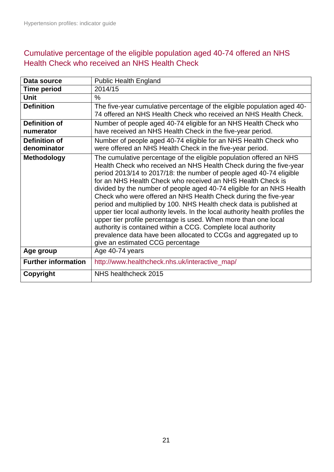#### <span id="page-20-0"></span>Cumulative percentage of the eligible population aged 40-74 offered an NHS Health Check who received an NHS Health Check

| Data source                  | <b>Public Health England</b>                                                                                                                                                                                                                                                                                                                                                                                                                                                                                                                                                                                                                                                                                                                                                                                                    |
|------------------------------|---------------------------------------------------------------------------------------------------------------------------------------------------------------------------------------------------------------------------------------------------------------------------------------------------------------------------------------------------------------------------------------------------------------------------------------------------------------------------------------------------------------------------------------------------------------------------------------------------------------------------------------------------------------------------------------------------------------------------------------------------------------------------------------------------------------------------------|
| <b>Time period</b>           | 2014/15                                                                                                                                                                                                                                                                                                                                                                                                                                                                                                                                                                                                                                                                                                                                                                                                                         |
| <b>Unit</b>                  | $\%$                                                                                                                                                                                                                                                                                                                                                                                                                                                                                                                                                                                                                                                                                                                                                                                                                            |
| <b>Definition</b>            | The five-year cumulative percentage of the eligible population aged 40-<br>74 offered an NHS Health Check who received an NHS Health Check.                                                                                                                                                                                                                                                                                                                                                                                                                                                                                                                                                                                                                                                                                     |
| Definition of<br>numerator   | Number of people aged 40-74 eligible for an NHS Health Check who<br>have received an NHS Health Check in the five-year period.                                                                                                                                                                                                                                                                                                                                                                                                                                                                                                                                                                                                                                                                                                  |
| Definition of<br>denominator | Number of people aged 40-74 eligible for an NHS Health Check who<br>were offered an NHS Health Check in the five-year period.                                                                                                                                                                                                                                                                                                                                                                                                                                                                                                                                                                                                                                                                                                   |
| <b>Methodology</b>           | The cumulative percentage of the eligible population offered an NHS<br>Health Check who received an NHS Health Check during the five-year<br>period 2013/14 to 2017/18: the number of people aged 40-74 eligible<br>for an NHS Health Check who received an NHS Health Check is<br>divided by the number of people aged 40-74 eligible for an NHS Health<br>Check who were offered an NHS Health Check during the five-year<br>period and multiplied by 100. NHS Health check data is published at<br>upper tier local authority levels. In the local authority health profiles the<br>upper tier profile percentage is used. When more than one local<br>authority is contained within a CCG. Complete local authority<br>prevalence data have been allocated to CCGs and aggregated up to<br>give an estimated CCG percentage |
| Age group                    | Age 40-74 years                                                                                                                                                                                                                                                                                                                                                                                                                                                                                                                                                                                                                                                                                                                                                                                                                 |
| <b>Further information</b>   | http://www.healthcheck.nhs.uk/interactive_map/                                                                                                                                                                                                                                                                                                                                                                                                                                                                                                                                                                                                                                                                                                                                                                                  |
| <b>Copyright</b>             | NHS healthcheck 2015                                                                                                                                                                                                                                                                                                                                                                                                                                                                                                                                                                                                                                                                                                                                                                                                            |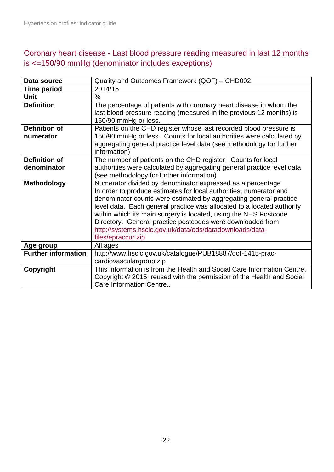### <span id="page-21-0"></span>Coronary heart disease - Last blood pressure reading measured in last 12 months is <=150/90 mmHg (denominator includes exceptions)

| Data source                | Quality and Outcomes Framework (QOF) - CHD002                           |
|----------------------------|-------------------------------------------------------------------------|
| <b>Time period</b>         | 2014/15                                                                 |
| Unit                       | $\%$                                                                    |
| <b>Definition</b>          | The percentage of patients with coronary heart disease in whom the      |
|                            | last blood pressure reading (measured in the previous 12 months) is     |
|                            | 150/90 mmHg or less.                                                    |
| <b>Definition of</b>       | Patients on the CHD register whose last recorded blood pressure is      |
| numerator                  | 150/90 mmHg or less. Counts for local authorities were calculated by    |
|                            | aggregating general practice level data (see methodology for further    |
|                            | information)                                                            |
| <b>Definition of</b>       | The number of patients on the CHD register. Counts for local            |
| denominator                | authorities were calculated by aggregating general practice level data  |
|                            | (see methodology for further information)                               |
| <b>Methodology</b>         | Numerator divided by denominator expressed as a percentage              |
|                            | In order to produce estimates for local authorities, numerator and      |
|                            | denominator counts were estimated by aggregating general practice       |
|                            | level data. Each general practice was allocated to a located authority  |
|                            | wtihin which its main surgery is located, using the NHS Postcode        |
|                            | Directory. General practice postcodes were downloaded from              |
|                            | http://systems.hscic.gov.uk/data/ods/datadownloads/data-                |
|                            | files/epraccur.zip                                                      |
| Age group                  | All ages                                                                |
| <b>Further information</b> | http://www.hscic.gov.uk/catalogue/PUB18887/qof-1415-prac-               |
|                            | cardiovasculargroup.zip                                                 |
| Copyright                  | This information is from the Health and Social Care Information Centre. |
|                            | Copyright © 2015, reused with the permission of the Health and Social   |
|                            | Care Information Centre                                                 |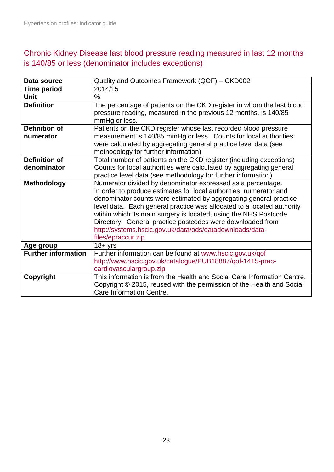### <span id="page-22-0"></span>Chronic Kidney Disease last blood pressure reading measured in last 12 months is 140/85 or less (denominator includes exceptions)

| Data source                | Quality and Outcomes Framework (QOF) - CKD002                                                                                                                                                                                                                                                                                                                                                                                                                                                        |
|----------------------------|------------------------------------------------------------------------------------------------------------------------------------------------------------------------------------------------------------------------------------------------------------------------------------------------------------------------------------------------------------------------------------------------------------------------------------------------------------------------------------------------------|
| <b>Time period</b>         | 2014/15                                                                                                                                                                                                                                                                                                                                                                                                                                                                                              |
| <b>Unit</b>                | $\frac{0}{0}$                                                                                                                                                                                                                                                                                                                                                                                                                                                                                        |
| <b>Definition</b>          | The percentage of patients on the CKD register in whom the last blood<br>pressure reading, measured in the previous 12 months, is 140/85<br>mmHg or less.                                                                                                                                                                                                                                                                                                                                            |
| <b>Definition of</b>       | Patients on the CKD register whose last recorded blood pressure                                                                                                                                                                                                                                                                                                                                                                                                                                      |
| numerator                  | measurement is 140/85 mmHg or less. Counts for local authorities<br>were calculated by aggregating general practice level data (see<br>methodology for further information)                                                                                                                                                                                                                                                                                                                          |
| <b>Definition of</b>       | Total number of patients on the CKD register (including exceptions)                                                                                                                                                                                                                                                                                                                                                                                                                                  |
| denominator                | Counts for local authorities were calculated by aggregating general<br>practice level data (see methodology for further information)                                                                                                                                                                                                                                                                                                                                                                 |
| <b>Methodology</b>         | Numerator divided by denominator expressed as a percentage.<br>In order to produce estimates for local authorities, numerator and<br>denominator counts were estimated by aggregating general practice<br>level data. Each general practice was allocated to a located authority<br>wtihin which its main surgery is located, using the NHS Postcode<br>Directory. General practice postcodes were downloaded from<br>http://systems.hscic.gov.uk/data/ods/datadownloads/data-<br>files/epraccur.zip |
| Age group                  | $18 + yrs$                                                                                                                                                                                                                                                                                                                                                                                                                                                                                           |
| <b>Further information</b> | Further information can be found at www.hscic.gov.uk/qof<br>http://www.hscic.gov.uk/catalogue/PUB18887/qof-1415-prac-<br>cardiovasculargroup.zip                                                                                                                                                                                                                                                                                                                                                     |
| Copyright                  | This information is from the Health and Social Care Information Centre.<br>Copyright © 2015, reused with the permission of the Health and Social<br>Care Information Centre.                                                                                                                                                                                                                                                                                                                         |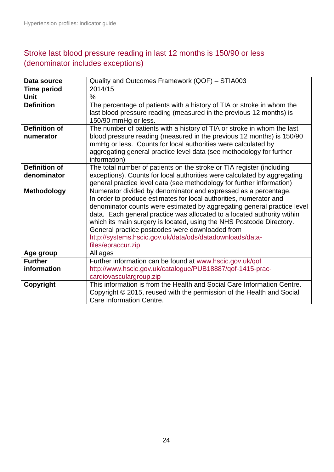## <span id="page-23-0"></span>Stroke last blood pressure reading in last 12 months is 150/90 or less (denominator includes exceptions)

| Data source                         | Quality and Outcomes Framework (QOF) - STIA003                                                                                                                                                                                                                                                                                                                                                                                                                                                           |
|-------------------------------------|----------------------------------------------------------------------------------------------------------------------------------------------------------------------------------------------------------------------------------------------------------------------------------------------------------------------------------------------------------------------------------------------------------------------------------------------------------------------------------------------------------|
| <b>Time period</b>                  | 2014/15                                                                                                                                                                                                                                                                                                                                                                                                                                                                                                  |
| <b>Unit</b>                         | $\frac{0}{0}$                                                                                                                                                                                                                                                                                                                                                                                                                                                                                            |
| <b>Definition</b>                   | The percentage of patients with a history of TIA or stroke in whom the<br>last blood pressure reading (measured in the previous 12 months) is<br>150/90 mmHg or less.                                                                                                                                                                                                                                                                                                                                    |
| <b>Definition of</b><br>numerator   | The number of patients with a history of TIA or stroke in whom the last<br>blood pressure reading (measured in the previous 12 months) is 150/90<br>mmHg or less. Counts for local authorities were calculated by<br>aggregating general practice level data (see methodology for further<br>information)                                                                                                                                                                                                |
| <b>Definition of</b><br>denominator | The total number of patients on the stroke or TIA register (including<br>exceptions). Counts for local authorities were calculated by aggregating<br>general practice level data (see methodology for further information)                                                                                                                                                                                                                                                                               |
| <b>Methodology</b>                  | Numerator divided by denominator and expressed as a percentage.<br>In order to produce estimates for local authorities, numerator and<br>denominator counts were estimated by aggregating general practice level<br>data. Each general practice was allocated to a located authority wtihin<br>which its main surgery is located, using the NHS Postcode Directory.<br>General practice postcodes were downloaded from<br>http://systems.hscic.gov.uk/data/ods/datadownloads/data-<br>files/epraccur.zip |
| Age group                           | All ages                                                                                                                                                                                                                                                                                                                                                                                                                                                                                                 |
| <b>Further</b><br>information       | Further information can be found at www.hscic.gov.uk/qof<br>http://www.hscic.gov.uk/catalogue/PUB18887/qof-1415-prac-<br>cardiovasculargroup.zip                                                                                                                                                                                                                                                                                                                                                         |
| Copyright                           | This information is from the Health and Social Care Information Centre.<br>Copyright © 2015, reused with the permission of the Health and Social<br>Care Information Centre.                                                                                                                                                                                                                                                                                                                             |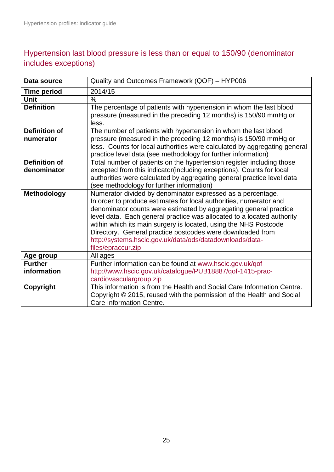## <span id="page-24-0"></span>Hypertension last blood pressure is less than or equal to 150/90 (denominator includes exceptions)

| Data source          | Quality and Outcomes Framework (QOF) - HYP006                                                                                           |
|----------------------|-----------------------------------------------------------------------------------------------------------------------------------------|
| <b>Time period</b>   | 2014/15                                                                                                                                 |
| Unit                 | $\frac{0}{0}$                                                                                                                           |
| <b>Definition</b>    | The percentage of patients with hypertension in whom the last blood<br>pressure (measured in the preceding 12 months) is 150/90 mmHg or |
|                      | less.                                                                                                                                   |
| <b>Definition of</b> | The number of patients with hypertension in whom the last blood                                                                         |
| numerator            | pressure (measured in the preceding 12 months) is 150/90 mmHg or                                                                        |
|                      | less. Counts for local authorities were calculated by aggregating general                                                               |
|                      | practice level data (see methodology for further information)                                                                           |
| <b>Definition of</b> | Total number of patients on the hypertension register including those                                                                   |
| denominator          | excepted from this indicator(including exceptions). Counts for local                                                                    |
|                      | authorities were calculated by aggregating general practice level data                                                                  |
|                      | (see methodology for further information)                                                                                               |
| <b>Methodology</b>   | Numerator divided by denominator expressed as a percentage.<br>In order to produce estimates for local authorities, numerator and       |
|                      | denominator counts were estimated by aggregating general practice                                                                       |
|                      | level data. Each general practice was allocated to a located authority                                                                  |
|                      | wtihin which its main surgery is located, using the NHS Postcode                                                                        |
|                      | Directory. General practice postcodes were downloaded from                                                                              |
|                      | http://systems.hscic.gov.uk/data/ods/datadownloads/data-                                                                                |
|                      | files/epraccur.zip                                                                                                                      |
| Age group            | All ages                                                                                                                                |
| <b>Further</b>       | Further information can be found at www.hscic.gov.uk/qof                                                                                |
| information          | http://www.hscic.gov.uk/catalogue/PUB18887/qof-1415-prac-                                                                               |
|                      | cardiovasculargroup.zip                                                                                                                 |
| Copyright            | This information is from the Health and Social Care Information Centre.                                                                 |
|                      | Copyright © 2015, reused with the permission of the Health and Social                                                                   |
|                      | Care Information Centre.                                                                                                                |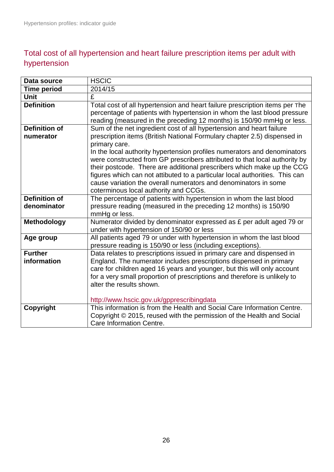## <span id="page-25-0"></span>Total cost of all hypertension and heart failure prescription items per adult with hypertension

| <b>HSCIC</b>                                                                                                         |
|----------------------------------------------------------------------------------------------------------------------|
| 2014/15                                                                                                              |
| £                                                                                                                    |
| Total cost of all hypertension and heart failure prescription items per The                                          |
| percentage of patients with hypertension in whom the last blood pressure                                             |
| reading (measured in the preceding 12 months) is 150/90 mmHg or less.                                                |
| Sum of the net ingredient cost of all hypertension and heart failure                                                 |
| prescription items (British National Formulary chapter 2.5) dispensed in                                             |
| primary care.                                                                                                        |
| In the local authority hypertension profiles numerators and denominators                                             |
| were constructed from GP prescribers attributed to that local authority by                                           |
| their postcode. There are additional prescribers which make up the CCG                                               |
| figures which can not attibuted to a particular local authorities. This can                                          |
| cause variation the overall numerators and denominators in some                                                      |
| coterminous local authority and CCGs.                                                                                |
| The percentage of patients with hypertension in whom the last blood                                                  |
| pressure reading (measured in the preceding 12 months) is 150/90                                                     |
| mmHg or less.                                                                                                        |
| Numerator divided by denominator expressed as £ per adult aged 79 or                                                 |
| under with hypertension of 150/90 or less                                                                            |
| All patients aged 79 or under with hypertension in whom the last blood                                               |
| pressure reading is 150/90 or less (including exceptions).                                                           |
| Data relates to prescriptions issued in primary care and dispensed in                                                |
| England. The numerator includes prescriptions dispensed in primary                                                   |
| care for children aged 16 years and younger, but this will only account                                              |
| for a very small proportion of prescriptions and therefore is unlikely to<br>alter the results shown.                |
|                                                                                                                      |
|                                                                                                                      |
| http://www.hscic.gov.uk/gpprescribingdata<br>This information is from the Health and Social Care Information Centre. |
| Copyright © 2015, reused with the permission of the Health and Social                                                |
| Care Information Centre.                                                                                             |
|                                                                                                                      |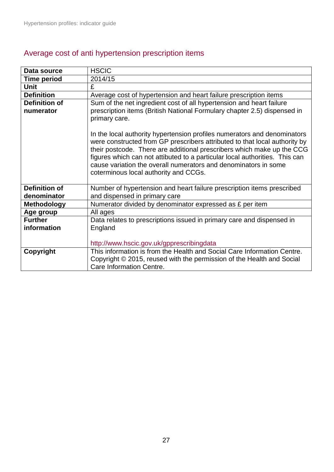| Data source          | <b>HSCIC</b>                                                                                                                                                                                                                                                                                                                                                                                                                |
|----------------------|-----------------------------------------------------------------------------------------------------------------------------------------------------------------------------------------------------------------------------------------------------------------------------------------------------------------------------------------------------------------------------------------------------------------------------|
| <b>Time period</b>   | 2014/15                                                                                                                                                                                                                                                                                                                                                                                                                     |
| <b>Unit</b>          | £                                                                                                                                                                                                                                                                                                                                                                                                                           |
| <b>Definition</b>    | Average cost of hypertension and heart failure prescription items                                                                                                                                                                                                                                                                                                                                                           |
| <b>Definition of</b> | Sum of the net ingredient cost of all hypertension and heart failure                                                                                                                                                                                                                                                                                                                                                        |
| numerator            | prescription items (British National Formulary chapter 2.5) dispensed in                                                                                                                                                                                                                                                                                                                                                    |
|                      | primary care.                                                                                                                                                                                                                                                                                                                                                                                                               |
|                      | In the local authority hypertension profiles numerators and denominators<br>were constructed from GP prescribers attributed to that local authority by<br>their postcode. There are additional prescribers which make up the CCG<br>figures which can not attibuted to a particular local authorities. This can<br>cause variation the overall numerators and denominators in some<br>coterminous local authority and CCGs. |
| <b>Definition of</b> | Number of hypertension and heart failure prescription items prescribed                                                                                                                                                                                                                                                                                                                                                      |
| denominator          | and dispensed in primary care                                                                                                                                                                                                                                                                                                                                                                                               |
| <b>Methodology</b>   | Numerator divided by denominator expressed as £ per item                                                                                                                                                                                                                                                                                                                                                                    |
| Age group            | All ages                                                                                                                                                                                                                                                                                                                                                                                                                    |
| <b>Further</b>       | Data relates to prescriptions issued in primary care and dispensed in                                                                                                                                                                                                                                                                                                                                                       |
| information          | England                                                                                                                                                                                                                                                                                                                                                                                                                     |
|                      | http://www.hscic.gov.uk/gpprescribingdata                                                                                                                                                                                                                                                                                                                                                                                   |
| Copyright            | This information is from the Health and Social Care Information Centre.<br>Copyright © 2015, reused with the permission of the Health and Social<br>Care Information Centre.                                                                                                                                                                                                                                                |

## <span id="page-26-0"></span>Average cost of anti hypertension prescription items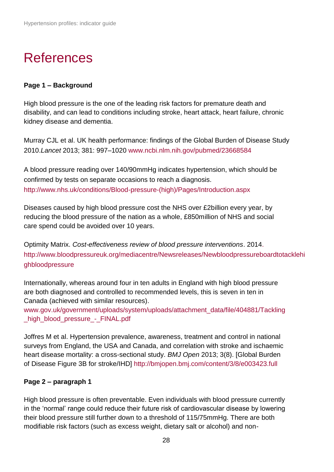# <span id="page-27-0"></span>References

#### **Page 1 – Background**

High blood pressure is the one of the leading risk factors for premature death and disability, and can lead to conditions including stroke, heart attack, heart failure, chronic kidney disease and dementia.

Murray CJL et al. UK health performance: findings of the Global Burden of Disease Study 2010.*Lancet* 2013; 381: 997–1020 [www.ncbi.nlm.nih.gov/pubmed/23668584](http://www.ncbi.nlm.nih.gov/pubmed/23668584)

A blood pressure reading over 140/90mmHg indicates hypertension, which should be confirmed by tests on separate occasions to reach a diagnosis. http://www.nhs.uk/conditions/Blood-pressure-(high)/Pages/Introduction.aspx

Diseases caused by high blood pressure cost the NHS over £2billion every year, by reducing the blood pressure of the nation as a whole, £850million of NHS and social care spend could be avoided over 10 years.

Optimity Matrix. *Cost-effectiveness review of blood pressure interventions*. 2014. http://www.bloodpressureuk.org/mediacentre/Newsreleases/Newbloodpressureboardtotacklehi ghbloodpressure

Internationally, whereas around four in ten adults in England with high blood pressure are both diagnosed and controlled to recommended levels, this is seven in ten in Canada (achieved with similar resources).

[www.gov.uk/government/uploads/system/uploads/attachment\\_data/file/404881/Tackling](https://www.gov.uk/government/uploads/system/uploads/attachment_data/file/404881/Tackling_high_blood_pressure_-_FINAL.pdf) high\_blood\_pressure\_-\_FINAL.pdf

Joffres M et al. Hypertension prevalence, awareness, treatment and control in national surveys from England, the USA and Canada, and correlation with stroke and ischaemic heart disease mortality: a cross-sectional study. *BMJ Open* 2013; 3(8). [Global Burden of Disease Figure 3B for stroke/IHD] <http://bmjopen.bmj.com/content/3/8/e003423.full>

#### **Page 2 – paragraph 1**

High blood pressure is often preventable. Even individuals with blood pressure currently in the 'normal' range could reduce their future risk of cardiovascular disease by lowering their blood pressure still further down to a threshold of 115/75mmHg. There are both modifiable risk factors (such as excess weight, dietary salt or alcohol) and non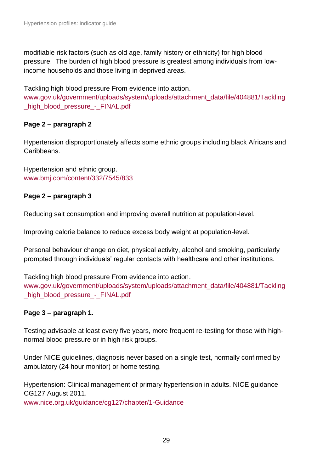modifiable risk factors (such as old age, family history or ethnicity) for high blood pressure. The burden of high blood pressure is greatest among individuals from lowincome households and those living in deprived areas.

Tackling high blood pressure From evidence into action.

[www.gov.uk/government/uploads/system/uploads/attachment\\_data/file/404881/Tackling](https://www.gov.uk/government/uploads/system/uploads/attachment_data/file/404881/Tackling_high_blood_pressure_-_FINAL.pdf) [\\_high\\_blood\\_pressure\\_-\\_FINAL.pdf](https://www.gov.uk/government/uploads/system/uploads/attachment_data/file/404881/Tackling_high_blood_pressure_-_FINAL.pdf)

#### **Page 2 – paragraph 2**

Hypertension disproportionately affects some ethnic groups including black Africans and Caribbeans.

Hypertension and ethnic group. [www.bmj.com/content/332/7545/833](http://www.bmj.com/content/332/7545/833)

#### **Page 2 – paragraph 3**

Reducing salt consumption and improving overall nutrition at population-level.

Improving calorie balance to reduce excess body weight at population-level.

Personal behaviour change on diet, physical activity, alcohol and smoking, particularly prompted through individuals' regular contacts with healthcare and other institutions.

Tackling high blood pressure From evidence into action. [www.gov.uk/government/uploads/system/uploads/attachment\\_data/file/404881/Tackling](https://www.gov.uk/government/uploads/system/uploads/attachment_data/file/404881/Tackling_high_blood_pressure_-_FINAL.pdf) [\\_high\\_blood\\_pressure\\_-\\_FINAL.pdf](https://www.gov.uk/government/uploads/system/uploads/attachment_data/file/404881/Tackling_high_blood_pressure_-_FINAL.pdf)

#### **Page 3 – paragraph 1.**

Testing advisable at least every five years, more frequent re-testing for those with highnormal blood pressure or in high risk groups.

Under NICE guidelines, diagnosis never based on a single test, normally confirmed by ambulatory (24 hour monitor) or home testing.

Hypertension: Clinical management of primary hypertension in adults. NICE guidance CG127 August 2011.

[www.nice.org.uk/guidance/cg127/chapter/1-Guidance](http://www.nice.org.uk/guidance/cg127/chapter/1-Guidance)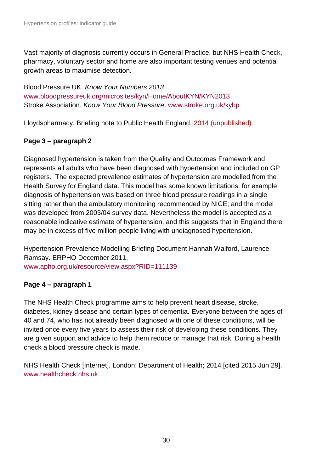Vast majority of diagnosis currently occurs in General Practice, but NHS Health Check, pharmacy, voluntary sector and home are also important testing venues and potential growth areas to maximise detection.

Blood Pressure UK. *Know Your Numbers 2013*  [www.bloodpressureuk.org/microsites/kyn/Home/AboutKYN/KYN2013](http://www.bloodpressureuk.org/microsites/kyn/Home/AboutKYN/KYN2013)  Stroke Association. *Know Your Blood Pressure*. [www.stroke.org.uk/kybp](http://www.stroke.org.uk/kybp)

Lloydspharmacy. Briefing note to Public Health England. 2014 (unpublished)

#### **Page 3 – paragraph 2**

Diagnosed hypertension is taken from the Quality and Outcomes Framework and represents all adults who have been diagnosed with hypertension and included on GP registers. The expected prevalence estimates of hypertension are modelled from the Health Survey for England data. This model has some known limitations: for example diagnosis of hypertension was based on three blood pressure readings in a single sitting rather than the ambulatory monitoring recommended by NICE; and the model was developed from 2003/04 survey data. Nevertheless the model is accepted as a reasonable indicative estimate of hypertension, and this suggests that in England there may be in excess of five million people living with undiagnosed hypertension.

Hypertension Prevalence Modelling Briefing Document Hannah Walford, Laurence Ramsay. ERPHO December 2011. [www.apho.org.uk/resource/view.aspx?RID=111139](http://www.apho.org.uk/resource/view.aspx?RID=111139)

#### **Page 4 – paragraph 1**

The NHS Health Check programme aims to help prevent heart disease, stroke, diabetes, kidney disease and certain types of dementia. Everyone between the ages of 40 and 74, who has not already been diagnosed with one of these conditions, will be invited once every five years to assess their risk of developing these conditions. They are given support and advice to help them reduce or manage that risk. During a health check a blood pressure check is made.

NHS Health Check [Internet]. London: Department of Health; 2014 [cited 2015 Jun 29]. [www.healthcheck.nhs.uk](http://www.healthcheck.nhs.uk/)